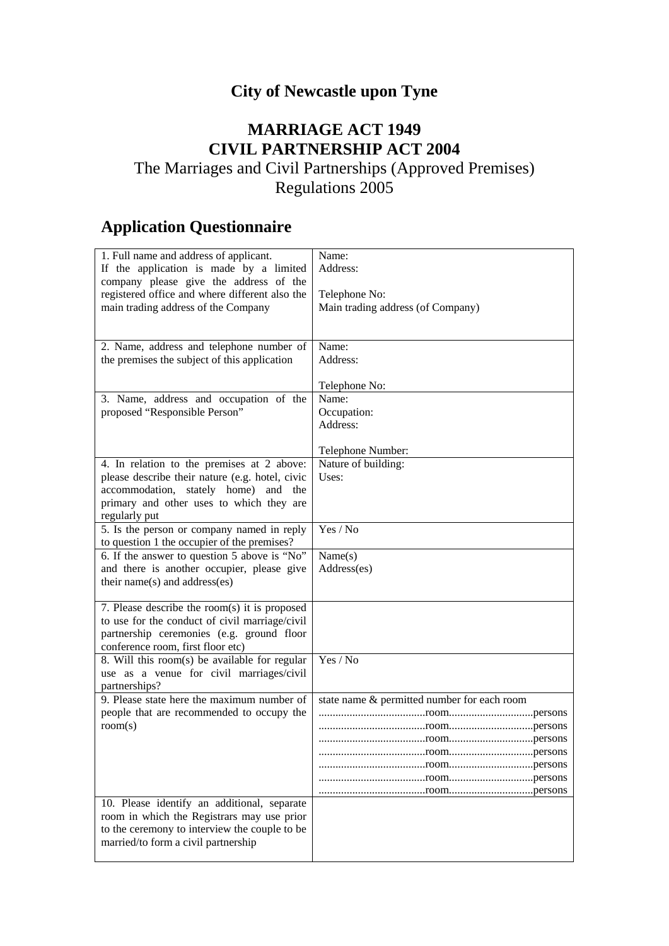## **City of Newcastle upon Tyne**

## **MARRIAGE ACT 1949 CIVIL PARTNERSHIP ACT 2004**

## The Marriages and Civil Partnerships (Approved Premises) Regulations 2005

## **Application Questionnaire**

| 1. Full name and address of applicant.                      | Name:                                       |
|-------------------------------------------------------------|---------------------------------------------|
| If the application is made by a limited                     | Address:                                    |
| company please give the address of the                      |                                             |
| registered office and where different also the              | Telephone No:                               |
| main trading address of the Company                         | Main trading address (of Company)           |
|                                                             |                                             |
|                                                             |                                             |
| 2. Name, address and telephone number of                    | Name:                                       |
| the premises the subject of this application                | Address:                                    |
|                                                             |                                             |
|                                                             | Telephone No:                               |
| 3. Name, address and occupation of the                      | Name:                                       |
| proposed "Responsible Person"                               | Occupation:                                 |
|                                                             | Address:                                    |
|                                                             | Telephone Number:                           |
| 4. In relation to the premises at 2 above:                  | Nature of building:                         |
| please describe their nature (e.g. hotel, civic             | Uses:                                       |
| accommodation, stately home) and<br>the                     |                                             |
| primary and other uses to which they are                    |                                             |
| regularly put                                               |                                             |
| 5. Is the person or company named in reply                  | Yes / No                                    |
| to question 1 the occupier of the premises?                 |                                             |
| 6. If the answer to question 5 above is "No"                | Name(s)                                     |
| and there is another occupier, please give                  | Address(es)                                 |
| their name(s) and address(es)                               |                                             |
|                                                             |                                             |
| 7. Please describe the room(s) it is proposed               |                                             |
| to use for the conduct of civil marriage/civil              |                                             |
| partnership ceremonies (e.g. ground floor                   |                                             |
| conference room, first floor etc)                           |                                             |
| 8. Will this room(s) be available for regular               | Yes / No                                    |
| use as a venue for civil marriages/civil                    |                                             |
| partnerships?<br>9. Please state here the maximum number of |                                             |
| people that are recommended to occupy the                   | state name & permitted number for each room |
| room(s)                                                     |                                             |
|                                                             |                                             |
|                                                             |                                             |
|                                                             |                                             |
|                                                             |                                             |
|                                                             |                                             |
| 10. Please identify an additional, separate                 |                                             |
| room in which the Registrars may use prior                  |                                             |
| to the ceremony to interview the couple to be               |                                             |
| married/to form a civil partnership                         |                                             |
|                                                             |                                             |